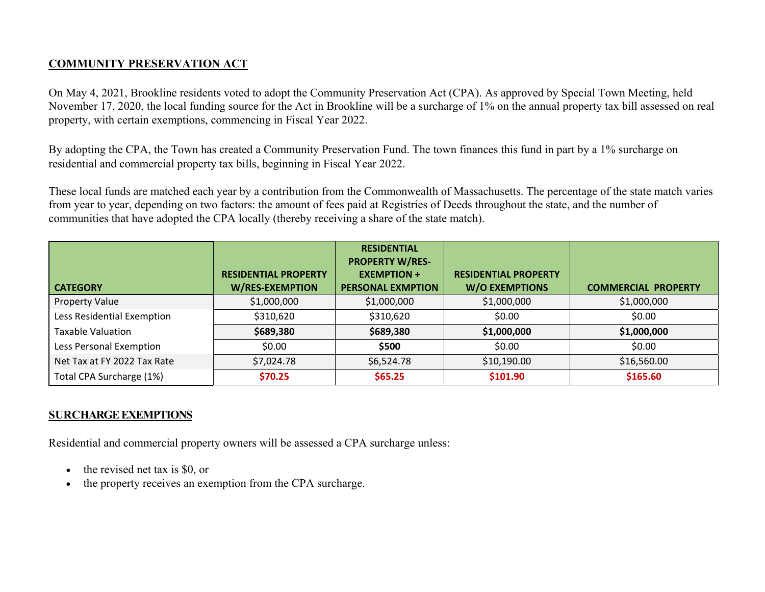# **COMMUNITY PRESERVATION ACT**

On May 4, 2021, Brookline residents voted to adopt the Community Preservation Act (CPA). As approved by Special Town Meeting, held November 17, 2020, the local funding source for the Act in Brookline will be a surcharge of 1% on the annual property tax bill assessed on real property, with certain exemptions, commencing in Fiscal Year 2022.

By adopting the CPA, the Town has created a Community Preservation Fund. The town finances this fund in part by a 1% surcharge on residential and commercial property tax bills, beginning in Fiscal Year 2022.

These local funds are matched each year by a contribution from the Commonwealth of Massachusetts. The percentage of the state match varies from year to year, depending on two factors: the amount of fees paid at Registries of Deeds throughout the state, and the number of communities that have adopted the CPA locally (thereby receiving a share of the state match).

| <b>CATEGORY</b>             | <b>RESIDENTIAL PROPERTY</b><br><b>W/RES-EXEMPTION</b> | <b>RESIDENTIAL</b><br><b>PROPERTY W/RES-</b><br><b>EXEMPTION +</b><br><b>PERSONAL EXMPTION</b> | <b>RESIDENTIAL PROPERTY</b><br><b>W/O EXEMPTIONS</b> | <b>COMMERCIAL PROPERTY</b> |
|-----------------------------|-------------------------------------------------------|------------------------------------------------------------------------------------------------|------------------------------------------------------|----------------------------|
| <b>Property Value</b>       | \$1,000,000                                           | \$1,000,000                                                                                    | \$1,000,000                                          | \$1,000,000                |
| Less Residential Exemption  | \$310,620                                             | \$310,620                                                                                      | \$0.00                                               | \$0.00                     |
| <b>Taxable Valuation</b>    | \$689,380                                             | \$689,380                                                                                      | \$1,000,000                                          | \$1,000,000                |
| Less Personal Exemption     | \$0.00                                                | \$500                                                                                          | \$0.00                                               | \$0.00                     |
| Net Tax at FY 2022 Tax Rate | \$7,024.78                                            | \$6,524.78                                                                                     | \$10,190.00                                          | \$16,560.00                |
| Total CPA Surcharge (1%)    | \$70.25                                               | \$65.25                                                                                        | \$101.90                                             | \$165.60                   |

# **SURCHARGE EXEMPTIONS**

Residential and commercial property owners will be assessed a CPA surcharge unless:

- $\bullet$ the revised net tax is \$0, or
- $\bullet$ the property receives an exemption from the CPA surcharge.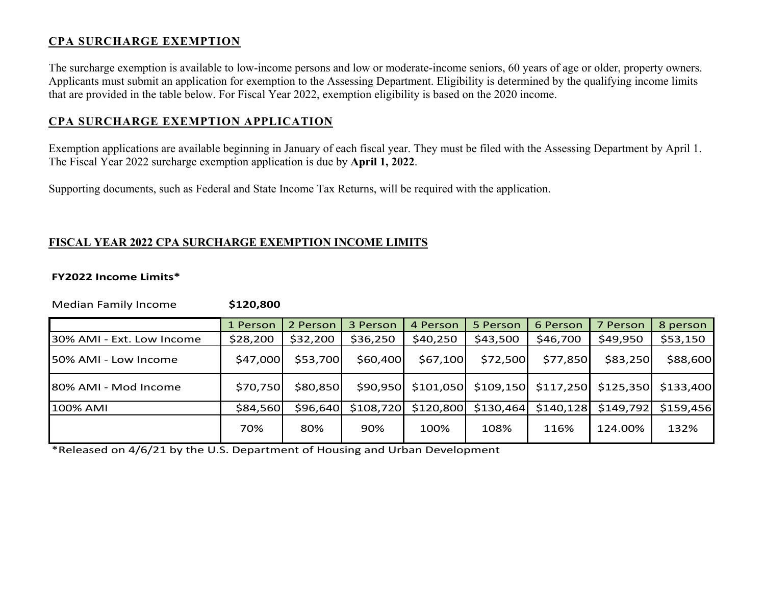## **CPA SURCHARGE EXEMPTION**

The surcharge exemption is available to low-income persons and low or moderate-income seniors, 60 years of age or older, property owners. Applicants must submit an application for exemption to the Assessing Department. Eligibility is determined by the qualifying income limits that are provided in the table below. For Fiscal Year 2022, exemption eligibility is based on the 2020 income.

### **CPA SURCHARGE EXEMPTION APPLICATION**

Exemption applications are available beginning in January of each fiscal year. They must be filed with the Assessing Department by April 1. The Fiscal Year 2022 surcharge exemption application is due by **April 1, 2022**.

Supporting documents, such as Federal and State Income Tax Returns, will be required with the application.

### **FISCAL YEAR 2022 CPA SURCHARGE EXEMPTION INCOME LIMITS**

#### **FY2022 Income Limits\***

Median Family Income **\$120,800** 

1 Person 2 Person 3 Person 4 Person 5 Person 6 Person 7 Person 8 person  $\vert$ 30% AMI - Ext. Low Income  $\vert$  \$28,200  $\vert$  \$32,200  $\vert$  \$36,250  $\vert$  \$40,250  $\vert$  \$43,500  $\vert$  \$46,700  $\vert$  \$49,950  $\vert$  \$53,150 50% AMI ‐ Low Income \$47,000 \$53,700 \$60,400 \$67,100 \$72,500 \$77,850 \$83,250 \$88,600 80% AMI - Mod Income | \$70,750 | \$80,850 | \$90,950 \$101,050 \$109,150 \$117,250 \$125,350 \$133,400 100% AMI \$84,560 \$96,640 \$108,720 \$120,800 \$130,464 \$140,128 \$149,792 \$159,456 124.00% 132% 70% 80% 90% 100% 108% 116%

\*Released on 4/6/21 by the U.S. Department of Housing and Urban Development